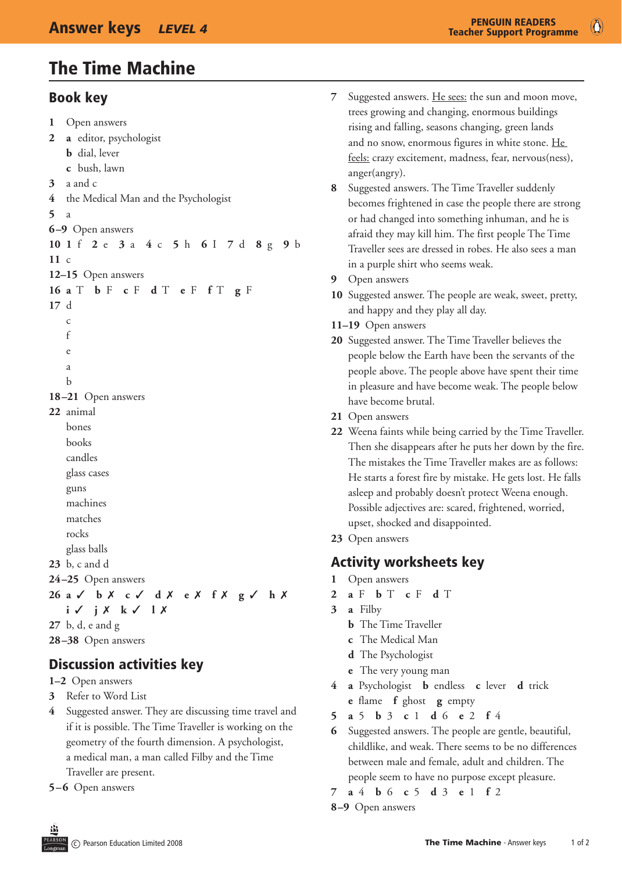# The Time Machine

#### Book key

```
1	 Open answers
2 a	 editor, psychologist
    b dial, lever
    c	 bush, lawn
3	 a and c
4	 the Medical Man and the Psychologist
5	 a
6–9 Open answers
10 1 f 2 e 3 a 4 c 5 h 6 I 7 d 8 g 9 b
11 \, c12–15 Open answers
16 a T b F c F d T e F f T g F
17	 d
    	 c
    	 f
    	 e
    	 a
    	 b
18–21 Open answers
22	 animal
    	 bones
    	 books
    	 candles
    	 glass cases
    	 guns
    	 machines
    	 matches
    	 rocks
    	 glass balls
23	 b, c and d
24–25 Open answers
26 a 3 b 7 c 3 d 7 e 7 f 7 g 3 h 7
   i \checkmark j \checkmark k \checkmark l \checkmark27	 b, d, e and g
28–38 Open answers
```
### Discussion activities key

- **1–2** Open answers
- **3** Refer to Word List
- **4** Suggested answer. They are discussing time travel and if it is possible. The Time Traveller is working on the geometry of the fourth dimension. A psychologist, a medical man, a man called Filby and the Time Traveller are present.

**5–6** Open answers

- **7** Suggested answers. He sees: the sun and moon move, trees growing and changing, enormous buildings rising and falling, seasons changing, green lands and no snow, enormous figures in white stone. He feels: crazy excitement, madness, fear, nervous(ness), anger(angry).
- Suggested answers. The Time Traveller suddenly becomes frightened in case the people there are strong or had changed into something inhuman, and he is afraid they may kill him. The first people The Time Traveller sees are dressed in robes. He also sees a man in a purple shirt who seems weak.
- **9** Open answers
- **10** Suggested answer. The people are weak, sweet, pretty, and happy and they play all day.
- **11–19** Open answers
- **20** Suggested answer. The Time Traveller believes the people below the Earth have been the servants of the people above. The people above have spent their time in pleasure and have become weak. The people below have become brutal.
- 21 Open answers
- **22** Weena faints while being carried by the Time Traveller. Then she disappears after he puts her down by the fire. The mistakes the Time Traveller makes are as follows: He starts a forest fire by mistake. He gets lost. He falls asleep and probably doesn't protect Weena enough. Possible adjectives are: scared, frightened, worried, upset, shocked and disappointed.
- 23 Open answers

#### Activity worksheets key

- **1** Open answers
- **2 a** F **b** T **c** F **d** T
- **3 a** Filby
	- **b** The Time Traveller
	- **c** The Medical Man
	- **d** The Psychologist
	- **e** The very young man
- **4 a** Psychologist **b** endless **c** lever **d** trick **e** flame **f** ghost **g** empty
- **5 a** 5 **b** 3 **c** 1 **d** 6 **e** 2 **f** 4
- **6** Suggested answers. The people are gentle, beautiful, childlike, and weak. There seems to be no differences between male and female, adult and children. The people seem to have no purpose except pleasure.
- **7 a** 4 **b** 6 **c** 5 **d** 3 **e** 1 **f** 2
- **8–9** Open answers